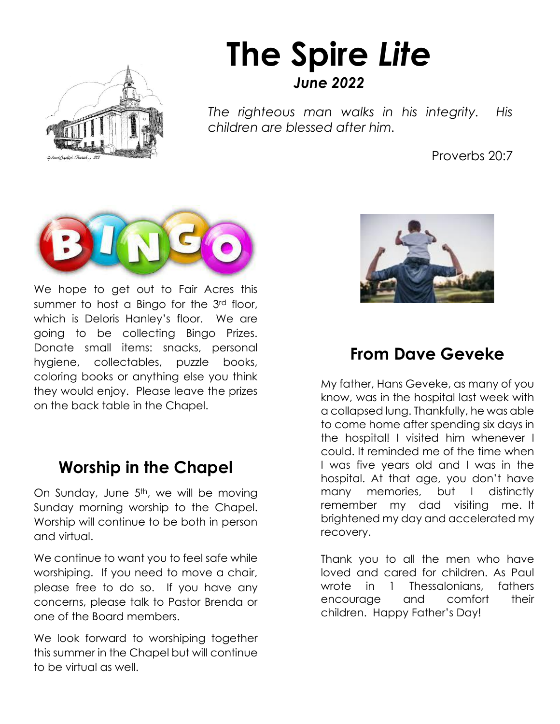

# **The Spire** *Lite June 2022*

*The righteous man walks in his integrity. His children are blessed after him.*

Proverbs 20:7



We hope to get out to Fair Acres this summer to host a Bingo for the 3<sup>rd</sup> floor, which is Deloris Hanley's floor. We are going to be collecting Bingo Prizes. Donate small items: snacks, personal hygiene, collectables, puzzle books, coloring books or anything else you think they would enjoy. Please leave the prizes on the back table in the Chapel.

### **Worship in the Chapel**

On Sunday, June 5<sup>th</sup>, we will be moving Sunday morning worship to the Chapel. Worship will continue to be both in person and virtual.

We continue to want you to feel safe while worshiping. If you need to move a chair, please free to do so. If you have any concerns, please talk to Pastor Brenda or one of the Board members.

We look forward to worshiping together this summer in the Chapel but will continue to be virtual as well.



### **From Dave Geveke**

W<br>OS<br>10 My father, Hans Geveke, as many of you know, was in the hospital last week with a collapsed lung. Thankfully, he was able to come home after spending six days in the hospital! I visited him whenever I could. It reminded me of the time when I was five years old and I was in the hospital. At that age, you don't have many memories, but I distinctly remember my dad visiting me. It brightened my day and accelerated my recovery.

Thank you to all the men who have loved and cared for children. As Paul wrote in 1 Thessalonians, fathers encourage and comfort their children. Happy Father's Day!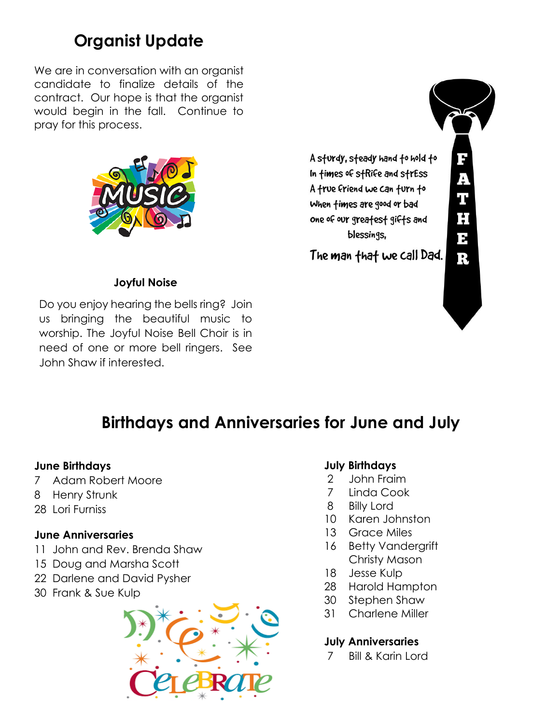# **Organist Update**

We are in conversation with an organist candidate to finalize details of the contract. Our hope is that the organist would begin in the fall. Continue to pray for this process.



#### **Joyful Noise**

Do you enjoy hearing the bells ring? Join us bringing the beautiful music to worship. The Joyful Noise Bell Choir is in need of one or more bell ringers. See John Shaw if interested.



## **Birthdays and Anniversaries for June and July**

#### **June Birthdays**

- 7 Adam Robert Moore
- 8 Henry Strunk
- 28 Lori Furniss

#### **June Anniversaries**

- 11 John and Rev. Brenda Shaw
- 15 Doug and Marsha Scott
- 22 Darlene and David Pysher
- 30 Frank & Sue Kulp



#### **July Birthdays**

- 2 John Fraim
- 7 Linda Cook
- 8 Billy Lord
- 10 Karen Johnston
- 13 Grace Miles
- 16 Betty Vandergrift Christy Mason
- 18 Jesse Kulp
- 28 Harold Hampton
- 30 Stephen Shaw
- 31 Charlene Miller

#### **July Anniversaries**

7 Bill & Karin Lord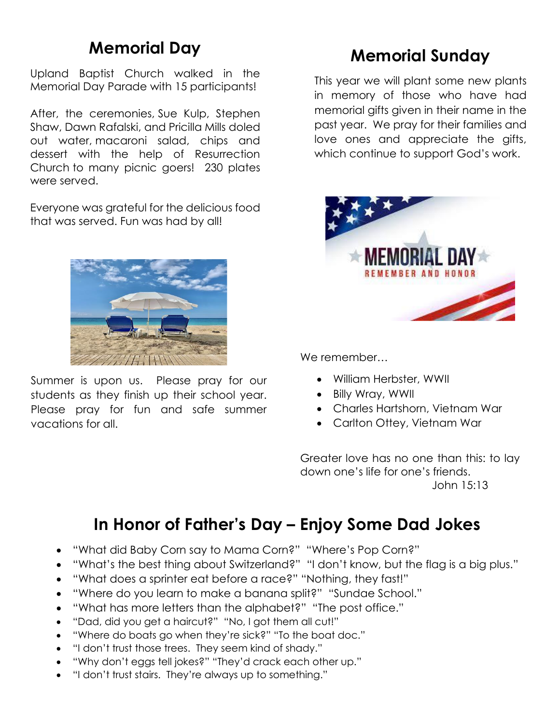## **Memorial Day**

Upland Baptist Church walked in the Memorial Day Parade with 15 participants!

After, the ceremonies, Sue Kulp, Stephen Shaw, Dawn Rafalski, and Pricilla Mills doled out water, macaroni salad, chips and dessert with the help of Resurrection Church to many picnic goers! 230 plates were served.

Everyone was grateful for the delicious food that was served. Fun was had by all!



Summer is upon us. Please pray for our students as they finish up their school year. Please pray for fun and safe summer vacations for all.

## **Memorial Sunday**

This year we will plant some new plants in memory of those who have had memorial gifts given in their name in the past year. We pray for their families and love ones and appreciate the gifts, which continue to support God's work.



We remember…

- William Herbster, WWII
- Billy Wray, WWII
- Charles Hartshorn, Vietnam War
- Carlton Ottey, Vietnam War

Greater love has no one than this: to lay down one's life for one's friends. John 15:13

# **In Honor of Father's Day – Enjoy Some Dad Jokes**

- "What did Baby Corn say to Mama Corn?" "Where's Pop Corn?"
- "What's the best thing about Switzerland?" "I don't know, but the flag is a big plus."
- "What does a sprinter eat before a race?" "Nothing, they fast!"
- "Where do you learn to make a banana split?" "Sundae School."
- "What has more letters than the alphabet?" "The post office."
- "Dad, did you get a haircut?" "No, I got them all cut!"
- "Where do boats go when they're sick?" "To the boat doc."
- "I don't trust those trees. They seem kind of shady."
- "Why don't eggs tell jokes?" "They'd crack each other up."
- "I don't trust stairs. They're always up to something."